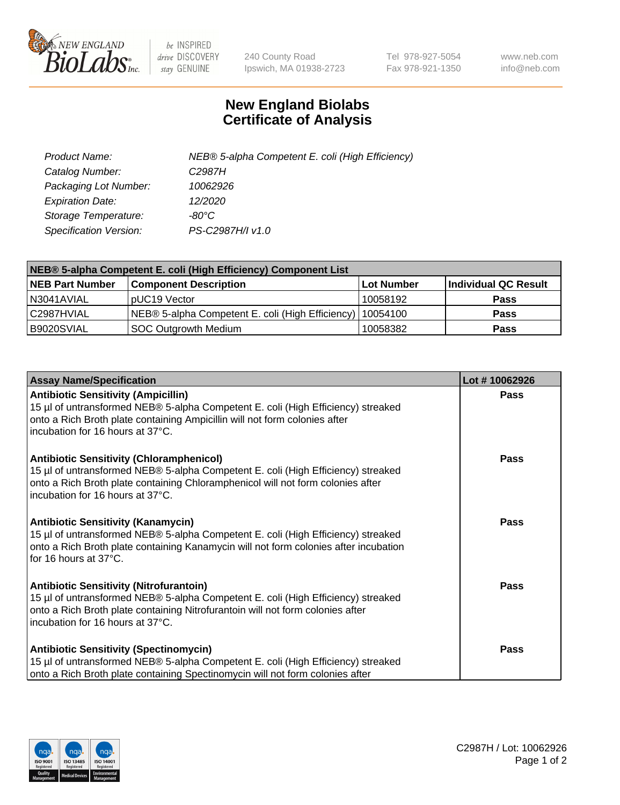

 $be$  INSPIRED drive DISCOVERY stay GENUINE

240 County Road Ipswich, MA 01938-2723 Tel 978-927-5054 Fax 978-921-1350 www.neb.com info@neb.com

## **New England Biolabs Certificate of Analysis**

| Product Name:           | NEB® 5-alpha Competent E. coli (High Efficiency) |
|-------------------------|--------------------------------------------------|
| Catalog Number:         | C <sub>2987</sub> H                              |
| Packaging Lot Number:   | 10062926                                         |
| <b>Expiration Date:</b> | 12/2020                                          |
| Storage Temperature:    | -80°C                                            |
| Specification Version:  | PS-C2987H/I v1.0                                 |

| NEB® 5-alpha Competent E. coli (High Efficiency) Component List |                                                             |            |                      |  |
|-----------------------------------------------------------------|-------------------------------------------------------------|------------|----------------------|--|
| <b>NEB Part Number</b>                                          | <b>Component Description</b>                                | Lot Number | Individual QC Result |  |
| N3041AVIAL                                                      | pUC19 Vector                                                | 10058192   | <b>Pass</b>          |  |
| C2987HVIAL                                                      | NEB® 5-alpha Competent E. coli (High Efficiency)   10054100 |            | <b>Pass</b>          |  |
| B9020SVIAL                                                      | <b>SOC Outgrowth Medium</b>                                 | 10058382   | <b>Pass</b>          |  |

| <b>Assay Name/Specification</b>                                                                                                                                                                                                                            | Lot #10062926 |
|------------------------------------------------------------------------------------------------------------------------------------------------------------------------------------------------------------------------------------------------------------|---------------|
| <b>Antibiotic Sensitivity (Ampicillin)</b><br>15 µl of untransformed NEB® 5-alpha Competent E. coli (High Efficiency) streaked<br>onto a Rich Broth plate containing Ampicillin will not form colonies after<br>incubation for 16 hours at 37°C.           | <b>Pass</b>   |
| <b>Antibiotic Sensitivity (Chloramphenicol)</b><br>15 µl of untransformed NEB® 5-alpha Competent E. coli (High Efficiency) streaked<br>onto a Rich Broth plate containing Chloramphenicol will not form colonies after<br>incubation for 16 hours at 37°C. | Pass          |
| Antibiotic Sensitivity (Kanamycin)<br>15 µl of untransformed NEB® 5-alpha Competent E. coli (High Efficiency) streaked<br>onto a Rich Broth plate containing Kanamycin will not form colonies after incubation<br>for 16 hours at 37°C.                    | Pass          |
| <b>Antibiotic Sensitivity (Nitrofurantoin)</b><br>15 µl of untransformed NEB® 5-alpha Competent E. coli (High Efficiency) streaked<br>onto a Rich Broth plate containing Nitrofurantoin will not form colonies after<br>incubation for 16 hours at 37°C.   | <b>Pass</b>   |
| <b>Antibiotic Sensitivity (Spectinomycin)</b><br>15 µl of untransformed NEB® 5-alpha Competent E. coli (High Efficiency) streaked<br>onto a Rich Broth plate containing Spectinomycin will not form colonies after                                         | Pass          |